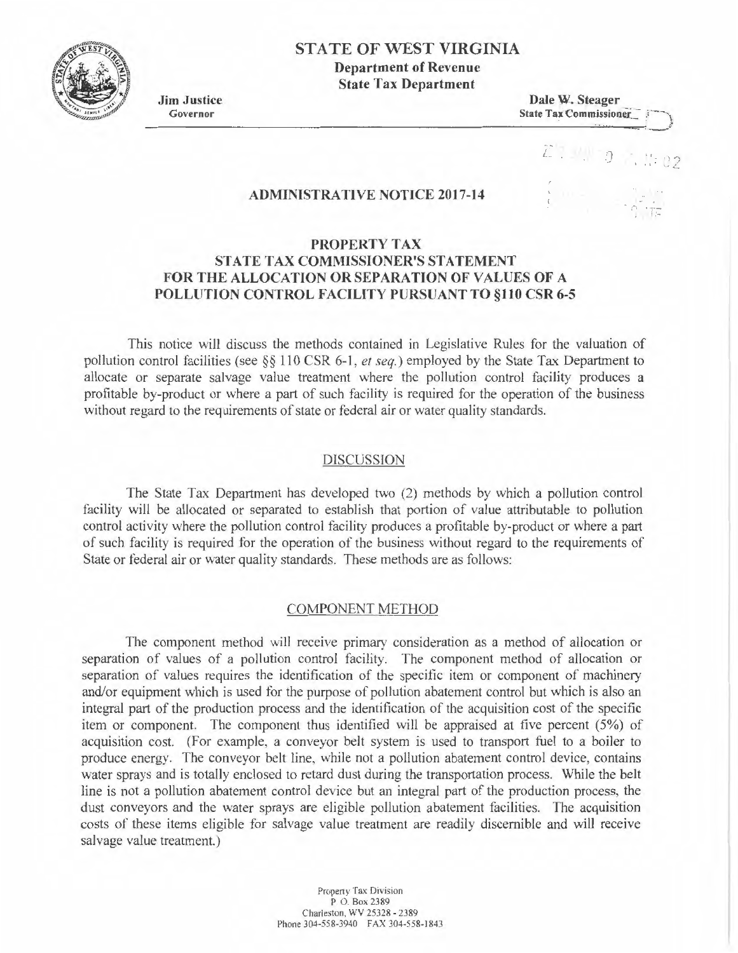## **STA TE OF WEST VIRGINIA**

**Department of Revenue State Tax Department** 

**Jim Justice**  Governor

**Dale W. Steager**  State Tax Commissionex\_\_- . ) ~~~~~~~~~~~~~~~~~~~~~~~~~~~~~~~.,,,,-\_\_\_ ,!

# $\Box$ *i ..*

## **ADMINISTRATIVE NOTICE 2017-14**

## **PROPERTY TAX STATE TAX COMMISSIONER'S STATEMENT FOR THE ALLOCATION OR SEPARATION OF VALUES OF A POLLUTION CONTROL FACILITY PURSUANT TO §110 CSR 6-5**

This notice will discuss the methods contained in Legislative Rules for the valuation of pollution control facilities (see §§ 110 CSR 6-1. *et seq.)* employed by the State Tax Department to allocate or separate salvage value treatment where the pollution control facility produces a profitable by-product or where a part of such facility is required for the operation of the business without regard to the requirements of state or federal air or water quality standards.

#### DISCUSSION

The State Tax Department has developed two (2) methods by which a pollution control facility will be allocated or separated to establish that portion of value attributable to pollution control activity where the pollution control facility produces a profitable by-product or where a part of such facility is required for the operation of the business without regard to the requirements of State or federal air or water quality standards. These methods are as follows:

#### COMPONENT METHOD

The component method will receive primary consideration as a method of allocation or separation of values of a pollution control facility. The component method of allocation or separation of values requires the identification of the specific item or component of machinery and/or equipment which is used for the purpose of pollution abatement control but which is also an integral part of the production process and the identification of the acquisition cost of the specific item or component. The component thus identified will be appraised at five percent (5%) of acquisition cost. (For example, a conveyor belt system is used to transport fuel to a boiler to produce energy. The conveyor belt line, while not a pollution abatement control device, contains water sprays and is totally enclosed to retard dust during the transportation process. While the belt line is not a pollution abatement control device but an integral part of the production process, the dust conveyors and the water sprays are eligible pollution abatement facilities. The acquisition costs of these items eligible for salvage value treatment are readily discernible and will receive salvage value treatment.)

> Propeny Tax Division P. O. Box 2389 Charleston, WV 25328 - 2389 Phone 304-558-3940 FAX 304-558-1843